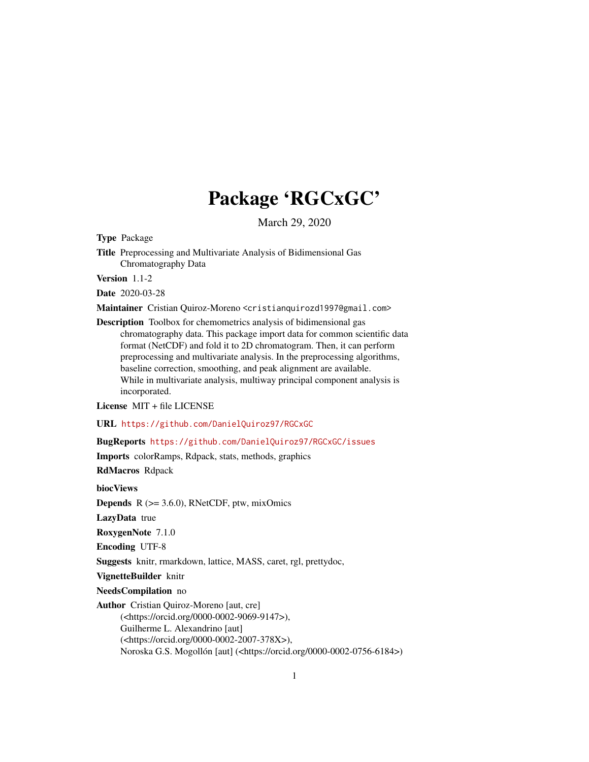# Package 'RGCxGC'

March 29, 2020

<span id="page-0-0"></span>Type Package

Title Preprocessing and Multivariate Analysis of Bidimensional Gas Chromatography Data

Version 1.1-2

Date 2020-03-28

Maintainer Cristian Quiroz-Moreno <cristianquirozd1997@gmail.com>

Description Toolbox for chemometrics analysis of bidimensional gas chromatography data. This package import data for common scientific data format (NetCDF) and fold it to 2D chromatogram. Then, it can perform preprocessing and multivariate analysis. In the preprocessing algorithms, baseline correction, smoothing, and peak alignment are available. While in multivariate analysis, multiway principal component analysis is incorporated.

License MIT + file LICENSE

URL <https://github.com/DanielQuiroz97/RGCxGC>

BugReports <https://github.com/DanielQuiroz97/RGCxGC/issues>

Imports colorRamps, Rdpack, stats, methods, graphics

RdMacros Rdpack

biocViews

**Depends**  $R$  ( $>= 3.6.0$ ), RNetCDF, ptw, mixOmics

LazyData true

RoxygenNote 7.1.0

Encoding UTF-8

Suggests knitr, rmarkdown, lattice, MASS, caret, rgl, prettydoc,

VignetteBuilder knitr

NeedsCompilation no

Author Cristian Quiroz-Moreno [aut, cre]

(<https://orcid.org/0000-0002-9069-9147>), Guilherme L. Alexandrino [aut] (<https://orcid.org/0000-0002-2007-378X>), Noroska G.S. Mogollón [aut] (<https://orcid.org/0000-0002-0756-6184>)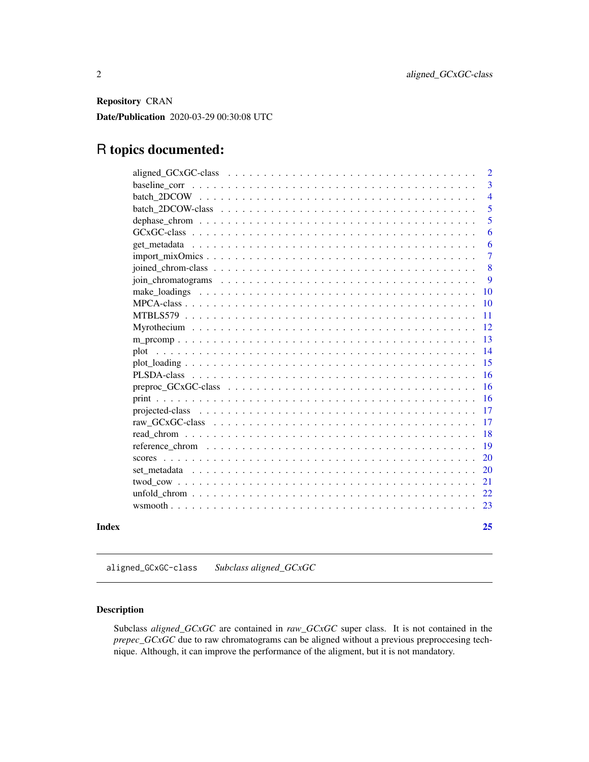<span id="page-1-0"></span>Repository CRAN

Date/Publication 2020-03-29 00:30:08 UTC

## R topics documented:

|       | $\overline{2}$ |
|-------|----------------|
|       | $\overline{3}$ |
|       | $\overline{4}$ |
|       | $\overline{5}$ |
|       | 5              |
|       | 6              |
|       | 6              |
|       | 7              |
|       | 8              |
|       | 9              |
|       | <b>10</b>      |
|       |                |
|       | -11            |
|       |                |
|       | -13            |
|       |                |
|       | 15             |
|       |                |
|       | $-16$          |
|       |                |
|       |                |
|       | -17            |
|       | <sup>18</sup>  |
|       | <b>19</b>      |
|       | <b>20</b>      |
|       |                |
|       | 21             |
|       |                |
|       |                |
| Index | 25             |

aligned\_GCxGC-class *Subclass aligned\_GCxGC*

### Description

Subclass *aligned\_GCxGC* are contained in *raw\_GCxGC* super class. It is not contained in the *prepec\_GCxGC* due to raw chromatograms can be aligned without a previous preproccesing technique. Although, it can improve the performance of the aligment, but it is not mandatory.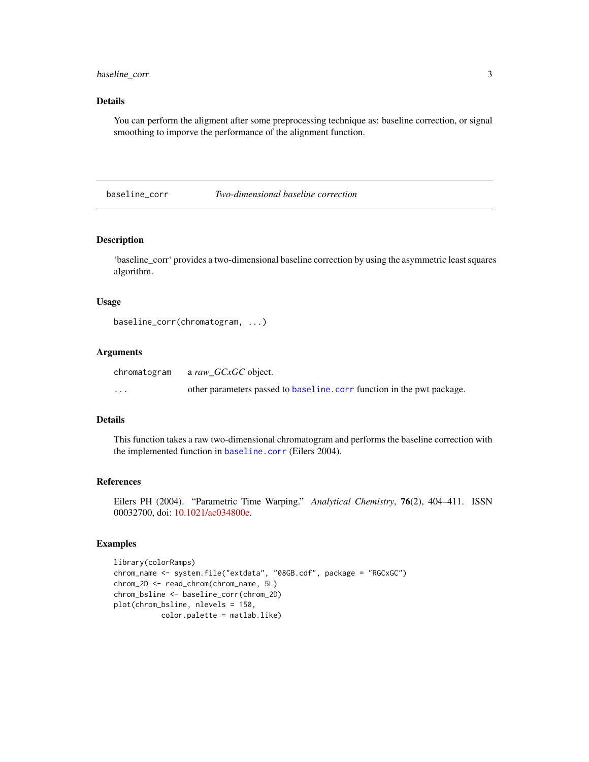<span id="page-2-0"></span>baseline\_corr 3

#### Details

You can perform the aligment after some preprocessing technique as: baseline correction, or signal smoothing to imporve the performance of the alignment function.

baseline\_corr *Two-dimensional baseline correction*

#### Description

'baseline\_corr' provides a two-dimensional baseline correction by using the asymmetric least squares algorithm.

#### Usage

```
baseline_corr(chromatogram, ...)
```
#### Arguments

| chromatogram | a raw GCxGC object.                                                   |
|--------------|-----------------------------------------------------------------------|
| $\cdots$     | other parameters passed to baseline.corr function in the pwt package. |

#### Details

This function takes a raw two-dimensional chromatogram and performs the baseline correction with the implemented function in [baseline.corr](#page-0-0) (Eilers 2004).

#### References

Eilers PH (2004). "Parametric Time Warping." *Analytical Chemistry*, 76(2), 404–411. ISSN 00032700, doi: [10.1021/ac034800e.](https://doi.org/10.1021/ac034800e)

```
library(colorRamps)
chrom_name <- system.file("extdata", "08GB.cdf", package = "RGCxGC")
chrom_2D <- read_chrom(chrom_name, 5L)
chrom_bsline <- baseline_corr(chrom_2D)
plot(chrom_bsline, nlevels = 150,
          color.palette = matlab.like)
```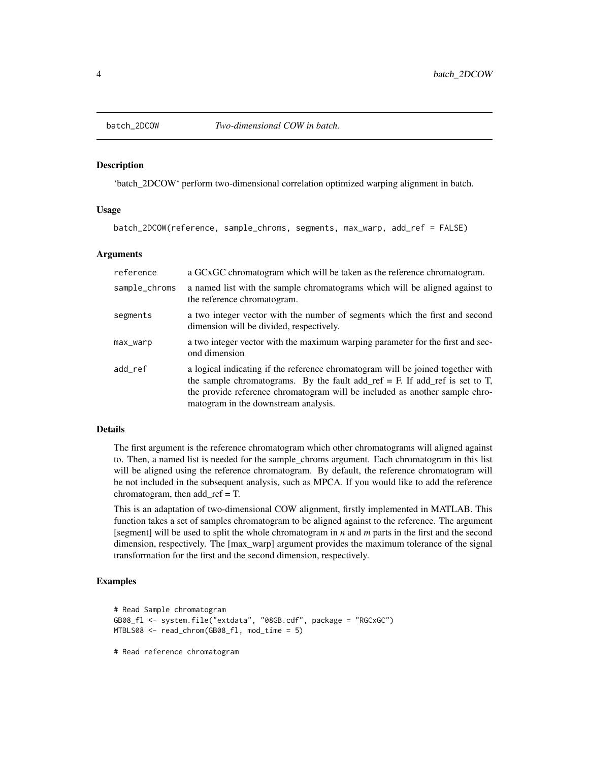<span id="page-3-0"></span>

'batch\_2DCOW' perform two-dimensional correlation optimized warping alignment in batch.

#### Usage

batch\_2DCOW(reference, sample\_chroms, segments, max\_warp, add\_ref = FALSE)

#### Arguments

| reference     | a GCxGC chromatogram which will be taken as the reference chromatogram.                                                                                                                                                                                                               |
|---------------|---------------------------------------------------------------------------------------------------------------------------------------------------------------------------------------------------------------------------------------------------------------------------------------|
| sample_chroms | a named list with the sample chromatograms which will be aligned against to<br>the reference chromatogram.                                                                                                                                                                            |
| segments      | a two integer vector with the number of segments which the first and second<br>dimension will be divided, respectively.                                                                                                                                                               |
| $max_$        | a two integer vector with the maximum warping parameter for the first and sec-<br>ond dimension                                                                                                                                                                                       |
| add_ref       | a logical indicating if the reference chromatogram will be joined together with<br>the sample chromatograms. By the fault add_ref = F. If add_ref is set to T,<br>the provide reference chromatogram will be included as another sample chro-<br>matogram in the downstream analysis. |

#### Details

The first argument is the reference chromatogram which other chromatograms will aligned against to. Then, a named list is needed for the sample\_chroms argument. Each chromatogram in this list will be aligned using the reference chromatogram. By default, the reference chromatogram will be not included in the subsequent analysis, such as MPCA. If you would like to add the reference chromatogram, then add\_ref = T.

This is an adaptation of two-dimensional COW alignment, firstly implemented in MATLAB. This function takes a set of samples chromatogram to be aligned against to the reference. The argument [segment] will be used to split the whole chromatogram in *n* and *m* parts in the first and the second dimension, respectively. The [max\_warp] argument provides the maximum tolerance of the signal transformation for the first and the second dimension, respectively.

#### Examples

```
# Read Sample chromatogram
GB08_fl <- system.file("extdata", "08GB.cdf", package = "RGCxGC")
MTBLS08 <- read_chrom(GB08_fl, mod_time = 5)
```
# Read reference chromatogram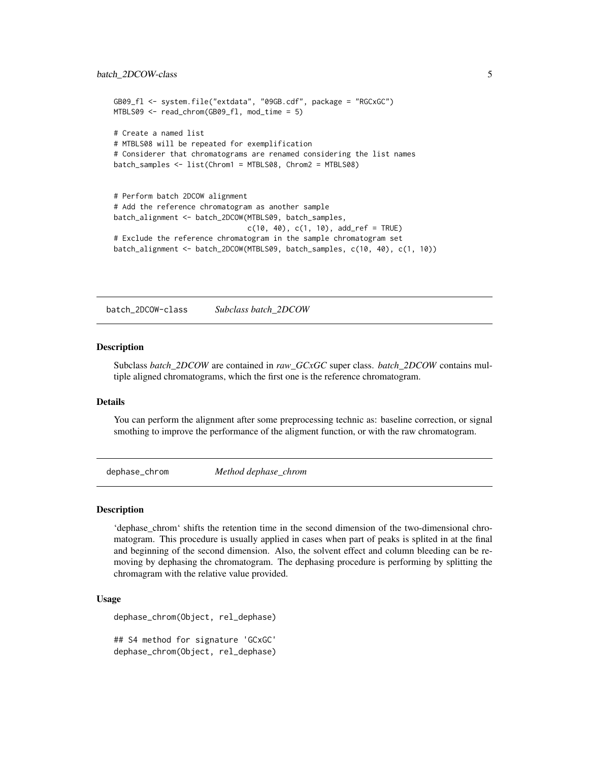```
GB09_fl <- system.file("extdata", "09GB.cdf", package = "RGCxGC")
MTBLS09 <- read_chrom(GB09_fl, mod_time = 5)
# Create a named list
# MTBLS08 will be repeated for exemplification
# Considerer that chromatograms are renamed considering the list names
batch_samples <- list(Chrom1 = MTBLS08, Chrom2 = MTBLS08)
# Perform batch 2DCOW alignment
# Add the reference chromatogram as another sample
batch_alignment <- batch_2DCOW(MTBLS09, batch_samples,
                               c(10, 40), c(1, 10), add\_ref = TRUE)
```

```
# Exclude the reference chromatogram in the sample chromatogram set
batch_alignment <- batch_2DCOW(MTBLS09, batch_samples, c(10, 40), c(1, 10))
```
batch\_2DCOW-class *Subclass batch\_2DCOW*

#### Description

Subclass *batch\_2DCOW* are contained in *raw\_GCxGC* super class. *batch\_2DCOW* contains multiple aligned chromatograms, which the first one is the reference chromatogram.

#### Details

You can perform the alignment after some preprocessing technic as: baseline correction, or signal smothing to improve the performance of the aligment function, or with the raw chromatogram.

dephase\_chrom *Method dephase\_chrom*

#### Description

'dephase\_chrom' shifts the retention time in the second dimension of the two-dimensional chromatogram. This procedure is usually applied in cases when part of peaks is splited in at the final and beginning of the second dimension. Also, the solvent effect and column bleeding can be removing by dephasing the chromatogram. The dephasing procedure is performing by splitting the chromagram with the relative value provided.

#### Usage

```
dephase_chrom(Object, rel_dephase)
## S4 method for signature 'GCxGC'
```
dephase\_chrom(Object, rel\_dephase)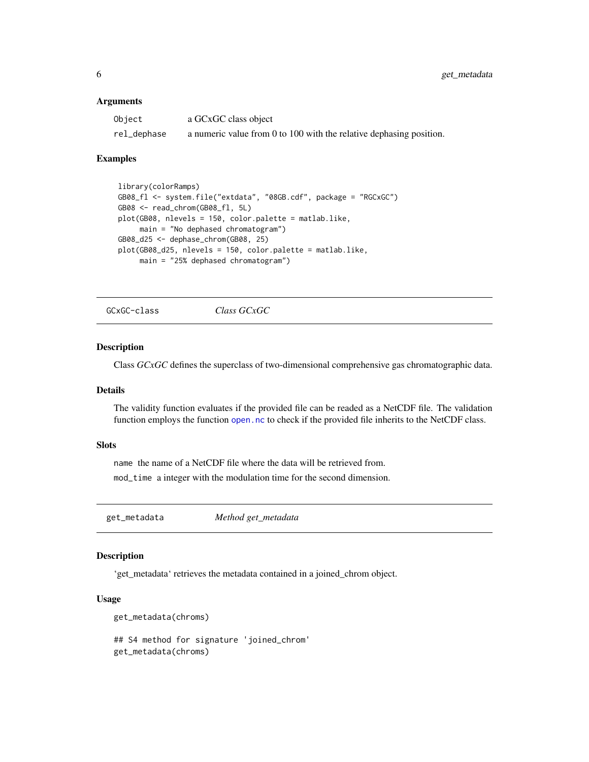#### <span id="page-5-0"></span>Arguments

| Object      | a GCxGC class object                                                |
|-------------|---------------------------------------------------------------------|
| rel_dephase | a numeric value from 0 to 100 with the relative dephasing position. |

#### Examples

```
library(colorRamps)
GB08_fl <- system.file("extdata", "08GB.cdf", package = "RGCxGC")
GB08 <- read_chrom(GB08_fl, 5L)
plot(GB08, nlevels = 150, color.palette = matlab.like,
     main = "No dephased chromatogram")
GB08_d25 <- dephase_chrom(GB08, 25)
plot(GB08_d25, nlevels = 150, color.palette = matlab.like,
     main = "25% dephased chromatogram")
```
GCxGC-class *Class GCxGC*

#### Description

Class *GCxGC* defines the superclass of two-dimensional comprehensive gas chromatographic data.

#### Details

The validity function evaluates if the provided file can be readed as a NetCDF file. The validation function employs the function [open.nc](#page-0-0) to check if the provided file inherits to the NetCDF class.

#### **Slots**

name the name of a NetCDF file where the data will be retrieved from.

mod\_time a integer with the modulation time for the second dimension.

get\_metadata *Method get\_metadata*

#### Description

'get\_metadata' retrieves the metadata contained in a joined\_chrom object.

#### Usage

```
get_metadata(chroms)
```

```
## S4 method for signature 'joined_chrom'
get_metadata(chroms)
```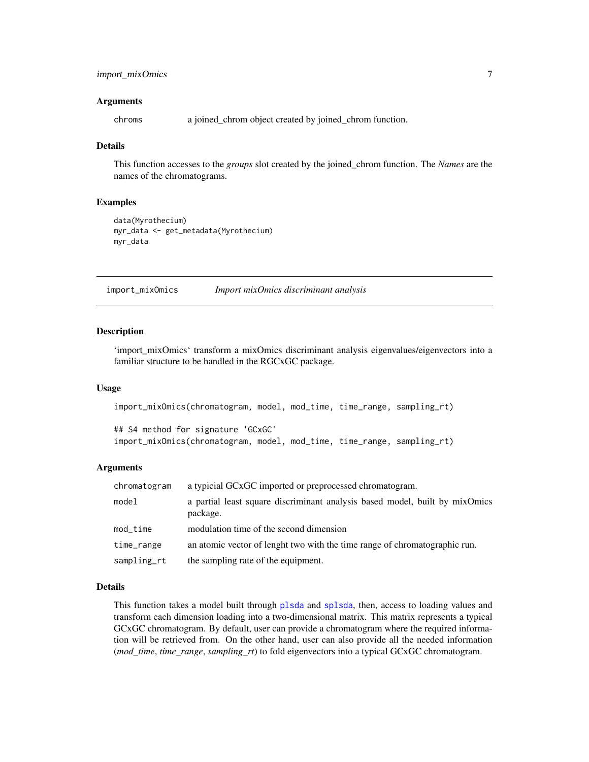#### <span id="page-6-0"></span>import\_mixOmics 7

#### Arguments

chroms a joined\_chrom object created by joined\_chrom function.

#### Details

This function accesses to the *groups* slot created by the joined\_chrom function. The *Names* are the names of the chromatograms.

#### Examples

```
data(Myrothecium)
myr_data <- get_metadata(Myrothecium)
myr_data
```
import\_mixOmics *Import mixOmics discriminant analysis*

#### **Description**

'import\_mixOmics' transform a mixOmics discriminant analysis eigenvalues/eigenvectors into a familiar structure to be handled in the RGCxGC package.

#### Usage

```
import_mixOmics(chromatogram, model, mod_time, time_range, sampling_rt)
## S4 method for signature 'GCxGC'
```
import\_mixOmics(chromatogram, model, mod\_time, time\_range, sampling\_rt)

#### Arguments

| chromatogram | a typicial GCxGC imported or preprocessed chromatogram.                                 |
|--------------|-----------------------------------------------------------------------------------------|
| model        | a partial least square discriminant analysis based model, built by mixOmics<br>package. |
| $mod\_time$  | modulation time of the second dimension                                                 |
| time_range   | an atomic vector of lenght two with the time range of chromatographic run.              |
| sampling_rt  | the sampling rate of the equipment.                                                     |

#### Details

This function takes a model built through [plsda](#page-0-0) and [splsda](#page-0-0), then, access to loading values and transform each dimension loading into a two-dimensional matrix. This matrix represents a typical GCxGC chromatogram. By default, user can provide a chromatogram where the required information will be retrieved from. On the other hand, user can also provide all the needed information (*mod\_time*, *time\_range*, *sampling\_rt*) to fold eigenvectors into a typical GCxGC chromatogram.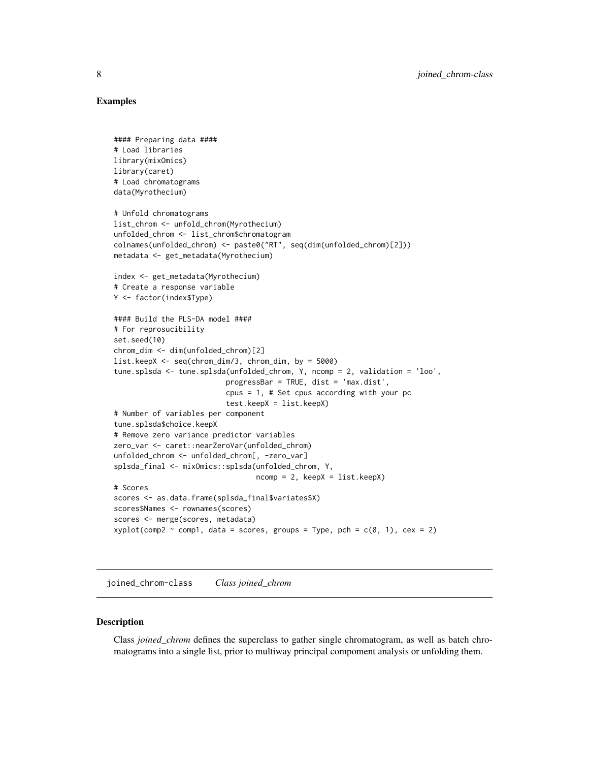#### <span id="page-7-0"></span>Examples

```
#### Preparing data ####
# Load libraries
library(mixOmics)
library(caret)
# Load chromatograms
data(Myrothecium)
# Unfold chromatograms
list_chrom <- unfold_chrom(Myrothecium)
unfolded_chrom <- list_chrom$chromatogram
colnames(unfolded_chrom) <- paste0("RT", seq(dim(unfolded_chrom)[2]))
metadata <- get_metadata(Myrothecium)
index <- get_metadata(Myrothecium)
# Create a response variable
Y <- factor(index$Type)
#### Build the PLS-DA model ####
# For reprosucibility
set.seed(10)
chrom_dim <- dim(unfolded_chrom)[2]
list.keepX <- seq(chrom_dim/3, chrom_dim, by = 5000)
tune.splsda <- tune.splsda(unfolded_chrom, Y, ncomp = 2, validation = 'loo',
                          progressBar = TRUE, dist = 'max.dist',
                          cpus = 1, # Set cpus according with your pc
                          test.keepX = list.keepX)
# Number of variables per component
tune.splsda$choice.keepX
# Remove zero variance predictor variables
zero_var <- caret::nearZeroVar(unfolded_chrom)
unfolded_chrom <- unfolded_chrom[, -zero_var]
splsda_final <- mixOmics::splsda(unfolded_chrom, Y,
                                 ncomp = 2, keepX = list.sleepX)# Scores
scores <- as.data.frame(splsda_final$variates$X)
scores$Names <- rownames(scores)
scores <- merge(scores, metadata)
xyplot(comp2 \sim comp1, data = scores, groups = Type, pch = c(8, 1), cex = 2)
```
joined\_chrom-class *Class joined\_chrom*

#### Description

Class *joined\_chrom* defines the superclass to gather single chromatogram, as well as batch chromatograms into a single list, prior to multiway principal compoment analysis or unfolding them.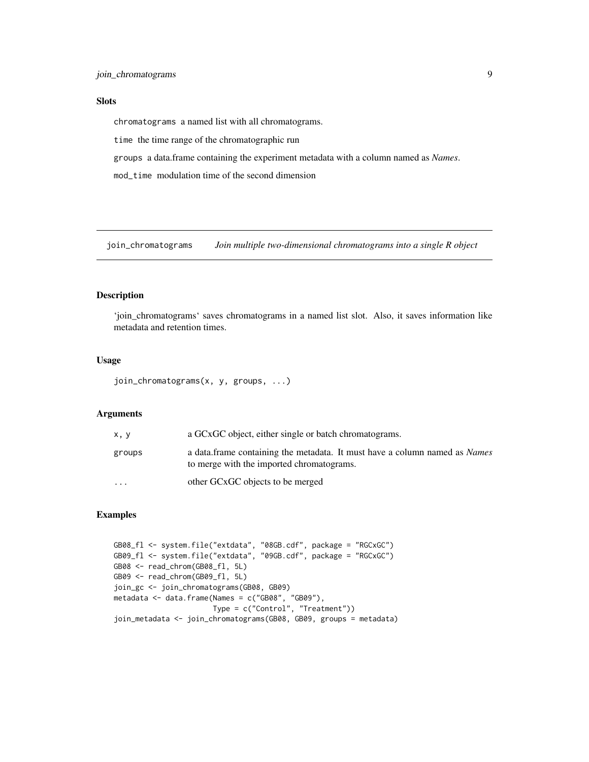#### <span id="page-8-0"></span>Slots

chromatograms a named list with all chromatograms.

time the time range of the chromatographic run

groups a data.frame containing the experiment metadata with a column named as *Names*.

mod\_time modulation time of the second dimension

join\_chromatograms *Join multiple two-dimensional chromatograms into a single R object*

#### Description

'join\_chromatograms' saves chromatograms in a named list slot. Also, it saves information like metadata and retention times.

#### Usage

join\_chromatograms(x, y, groups, ...)

#### Arguments

| x, y                    | a GCxGC object, either single or batch chromatograms.                                                                          |
|-------------------------|--------------------------------------------------------------------------------------------------------------------------------|
| groups                  | a data frame containing the metadata. It must have a column named as <i>Names</i><br>to merge with the imported chromatograms. |
| $\cdot$ $\cdot$ $\cdot$ | other GCxGC objects to be merged                                                                                               |

```
GB08_fl <- system.file("extdata", "08GB.cdf", package = "RGCxGC")
GB09_fl <- system.file("extdata", "09GB.cdf", package = "RGCxGC")
GB08 <- read_chrom(GB08_fl, 5L)
GB09 <- read_chrom(GB09_fl, 5L)
join_gc <- join_chromatograms(GB08, GB09)
metadata <- data.frame(Names = c("GB08", "GB09"),
                      Type = c("Control", "Treatment"))
join_metadata <- join_chromatograms(GB08, GB09, groups = metadata)
```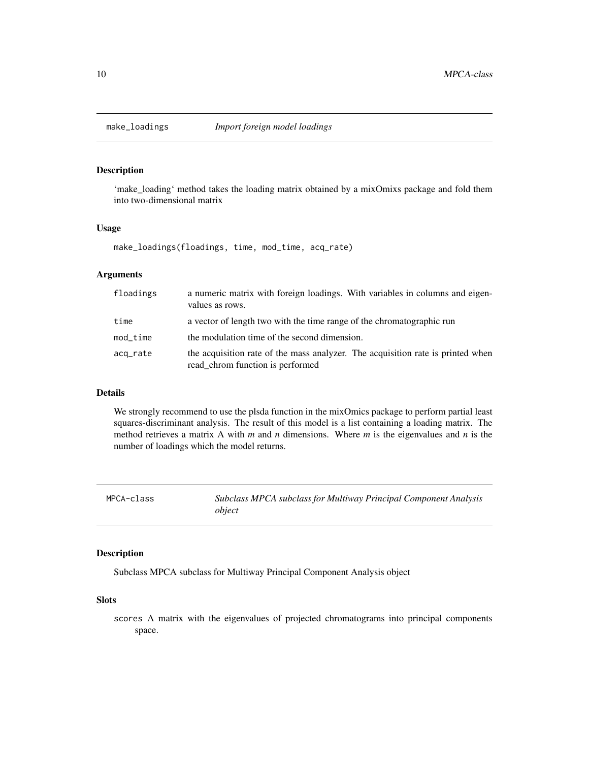<span id="page-9-0"></span>

'make\_loading' method takes the loading matrix obtained by a mixOmixs package and fold them into two-dimensional matrix

#### Usage

make\_loadings(floadings, time, mod\_time, acq\_rate)

#### Arguments

| floadings   | a numeric matrix with foreign loadings. With variables in columns and eigen-<br>values as rows.                     |
|-------------|---------------------------------------------------------------------------------------------------------------------|
| time        | a vector of length two with the time range of the chromatographic run                                               |
| $mod\_time$ | the modulation time of the second dimension.                                                                        |
| acq_rate    | the acquisition rate of the mass analyzer. The acquisition rate is printed when<br>read_chrom function is performed |

#### Details

We strongly recommend to use the plsda function in the mixOmics package to perform partial least squares-discriminant analysis. The result of this model is a list containing a loading matrix. The method retrieves a matrix A with  $m$  and  $n$  dimensions. Where  $m$  is the eigenvalues and  $n$  is the number of loadings which the model returns.

| MPCA-class | Subclass MPCA subclass for Multiway Principal Component Analysis |
|------------|------------------------------------------------------------------|
|            | object                                                           |

#### Description

Subclass MPCA subclass for Multiway Principal Component Analysis object

#### Slots

scores A matrix with the eigenvalues of projected chromatograms into principal components space.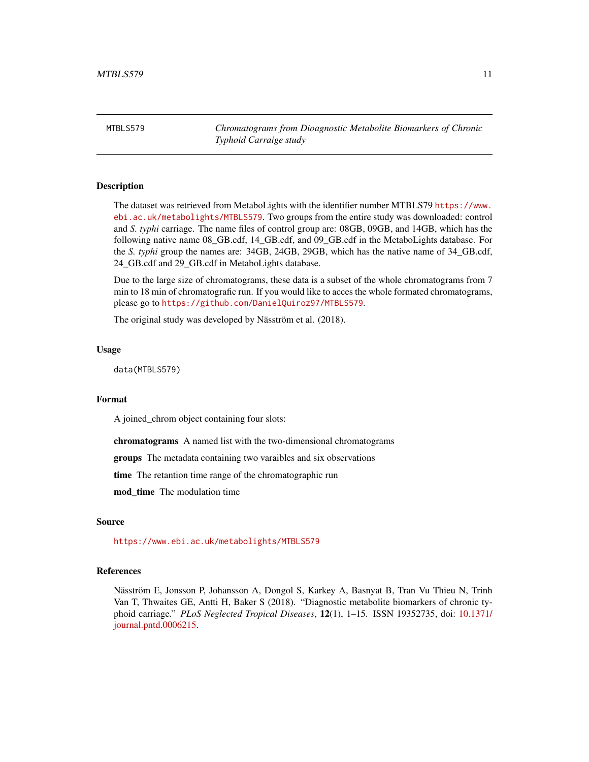<span id="page-10-0"></span>MTBLS579 *Chromatograms from Dioagnostic Metabolite Biomarkers of Chronic Typhoid Carraige study*

#### Description

The dataset was retrieved from MetaboLights with the identifier number MTBLS79 [https://www.](https://www.ebi.ac.uk/metabolights/MTBLS579) [ebi.ac.uk/metabolights/MTBLS579](https://www.ebi.ac.uk/metabolights/MTBLS579). Two groups from the entire study was downloaded: control and *S. typhi* carriage. The name files of control group are: 08GB, 09GB, and 14GB, which has the following native name 08\_GB.cdf, 14\_GB.cdf, and 09\_GB.cdf in the MetaboLights database. For the *S. typhi* group the names are: 34GB, 24GB, 29GB, which has the native name of 34\_GB.cdf, 24\_GB.cdf and 29\_GB.cdf in MetaboLights database.

Due to the large size of chromatograms, these data is a subset of the whole chromatograms from 7 min to 18 min of chromatografic run. If you would like to acces the whole formated chromatograms, please go to <https://github.com/DanielQuiroz97/MTBLS579>.

The original study was developed by Näsström et al. (2018).

#### Usage

data(MTBLS579)

#### Format

A joined\_chrom object containing four slots:

chromatograms A named list with the two-dimensional chromatograms

groups The metadata containing two varaibles and six observations

time The retantion time range of the chromatographic run

mod\_time The modulation time

#### Source

<https://www.ebi.ac.uk/metabolights/MTBLS579>

#### References

Näsström E, Jonsson P, Johansson A, Dongol S, Karkey A, Basnyat B, Tran Vu Thieu N, Trinh Van T, Thwaites GE, Antti H, Baker S (2018). "Diagnostic metabolite biomarkers of chronic typhoid carriage." *PLoS Neglected Tropical Diseases*, 12(1), 1–15. ISSN 19352735, doi: [10.1371/](https://doi.org/10.1371/journal.pntd.0006215) [journal.pntd.0006215.](https://doi.org/10.1371/journal.pntd.0006215)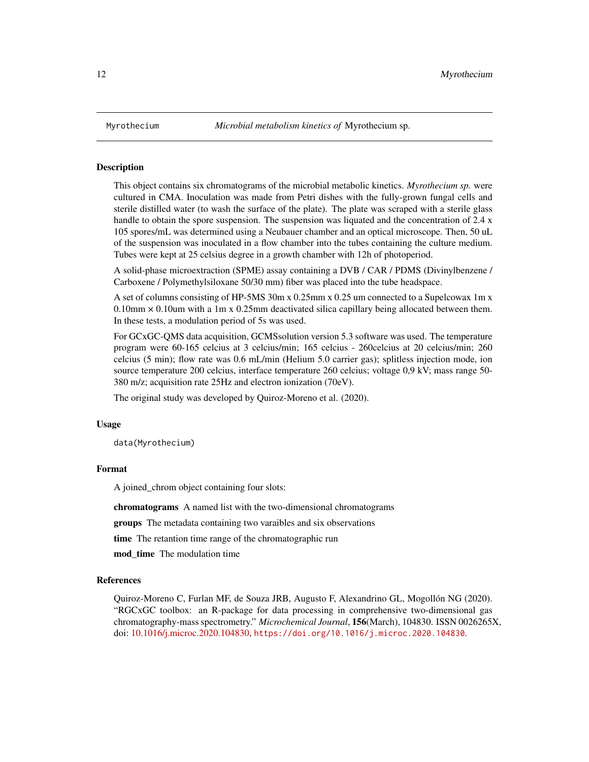This object contains six chromatograms of the microbial metabolic kinetics. *Myrothecium sp.* were cultured in CMA. Inoculation was made from Petri dishes with the fully-grown fungal cells and sterile distilled water (to wash the surface of the plate). The plate was scraped with a sterile glass handle to obtain the spore suspension. The suspension was liquated and the concentration of 2.4 x 105 spores/mL was determined using a Neubauer chamber and an optical microscope. Then, 50 uL of the suspension was inoculated in a flow chamber into the tubes containing the culture medium. Tubes were kept at 25 celsius degree in a growth chamber with 12h of photoperiod.

A solid-phase microextraction (SPME) assay containing a DVB / CAR / PDMS (Divinylbenzene / Carboxene / Polymethylsiloxane 50/30 mm) fiber was placed into the tube headspace.

A set of columns consisting of HP-5MS 30m x 0.25mm x 0.25 um connected to a Supelcowax 1m x  $0.10$ mm  $\times$  0.10um with a 1m x 0.25mm deactivated silica capillary being allocated between them. In these tests, a modulation period of 5s was used.

For GCxGC-QMS data acquisition, GCMSsolution version 5.3 software was used. The temperature program were 60-165 celcius at 3 celcius/min; 165 celcius - 260celcius at 20 celcius/min; 260 celcius (5 min); flow rate was 0.6 mL/min (Helium 5.0 carrier gas); splitless injection mode, ion source temperature 200 celcius, interface temperature 260 celcius; voltage 0,9 kV; mass range 50- 380 m/z; acquisition rate 25Hz and electron ionization (70eV).

The original study was developed by Quiroz-Moreno et al. (2020).

#### Usage

data(Myrothecium)

#### Format

A joined\_chrom object containing four slots:

chromatograms A named list with the two-dimensional chromatograms

groups The metadata containing two varaibles and six observations

time The retantion time range of the chromatographic run

mod time The modulation time

#### References

Quiroz-Moreno C, Furlan MF, de Souza JRB, Augusto F, Alexandrino GL, Mogollón NG (2020). "RGCxGC toolbox: an R-package for data processing in comprehensive two-dimensional gas chromatography-mass spectrometry." *Microchemical Journal*, 156(March), 104830. ISSN 0026265X, doi: [10.1016/j.microc.2020.104830,](https://doi.org/10.1016/j.microc.2020.104830) <https://doi.org/10.1016/j.microc.2020.104830>.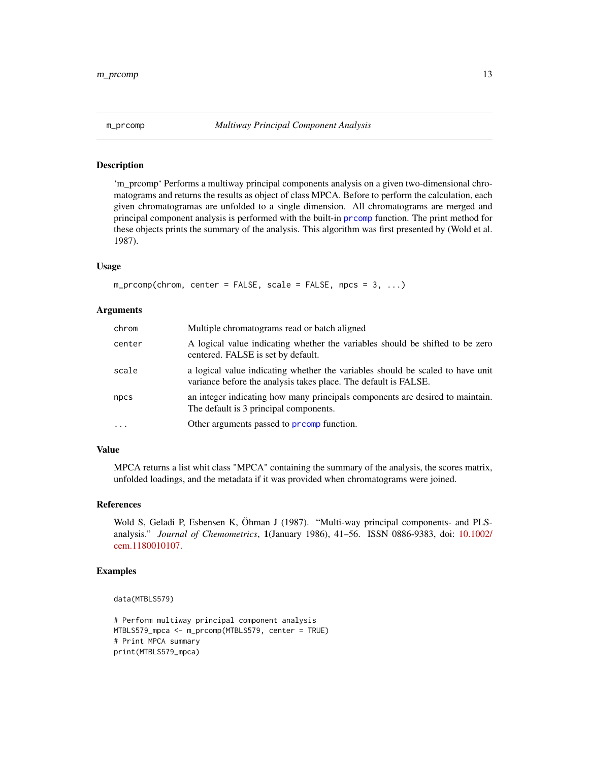<span id="page-12-0"></span>

'm\_prcomp' Performs a multiway principal components analysis on a given two-dimensional chromatograms and returns the results as object of class MPCA. Before to perform the calculation, each given chromatogramas are unfolded to a single dimension. All chromatograms are merged and principal component analysis is performed with the built-in [prcomp](#page-0-0) function. The print method for these objects prints the summary of the analysis. This algorithm was first presented by (Wold et al. 1987).

#### Usage

```
m\_preomp(chrom, center = FALSE, scale = FALSE, npc = 3, ...)
```
#### Arguments

| chrom   | Multiple chromatograms read or batch aligned                                                                                                      |
|---------|---------------------------------------------------------------------------------------------------------------------------------------------------|
| center  | A logical value indicating whether the variables should be shifted to be zero<br>centered. FALSE is set by default.                               |
| scale   | a logical value indicating whether the variables should be scaled to have unit<br>variance before the analysis takes place. The default is FALSE. |
| npcs    | an integer indicating how many principals components are desired to maintain.<br>The default is 3 principal components.                           |
| $\cdot$ | Other arguments passed to promp function.                                                                                                         |

#### Value

MPCA returns a list whit class "MPCA" containing the summary of the analysis, the scores matrix, unfolded loadings, and the metadata if it was provided when chromatograms were joined.

#### References

Wold S, Geladi P, Esbensen K, Öhman J (1987). "Multi-way principal components- and PLSanalysis." *Journal of Chemometrics*, 1(January 1986), 41–56. ISSN 0886-9383, doi: [10.1002/](https://doi.org/10.1002/cem.1180010107) [cem.1180010107.](https://doi.org/10.1002/cem.1180010107)

```
data(MTBLS579)
```

```
# Perform multiway principal component analysis
MTBLS579_mpca <- m_prcomp(MTBLS579, center = TRUE)
# Print MPCA summary
print(MTBLS579_mpca)
```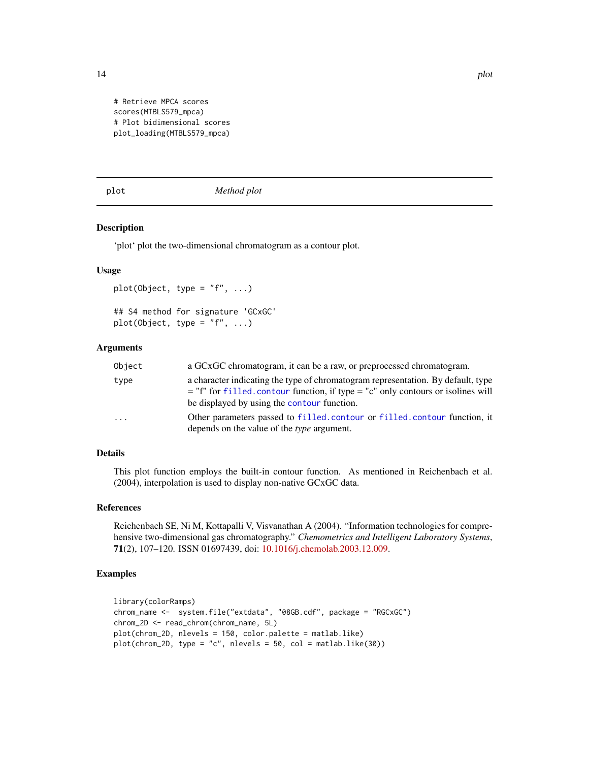<span id="page-13-0"></span>

```
# Retrieve MPCA scores
scores(MTBLS579_mpca)
# Plot bidimensional scores
plot_loading(MTBLS579_mpca)
```
plot *Method plot*

#### Description

'plot' plot the two-dimensional chromatogram as a contour plot.

#### Usage

```
plot(Object, type = "f", \ldots)
## S4 method for signature 'GCxGC'
plot(Object, type = "f", ...)
```
#### Arguments

| Object  | a GCxGC chromatogram, it can be a raw, or preprocessed chromatogram.                                                                                                                                                    |
|---------|-------------------------------------------------------------------------------------------------------------------------------------------------------------------------------------------------------------------------|
| type    | a character indicating the type of chromatogram representation. By default, type<br>$=$ "f" for filled, contour function, if type $=$ "c" only contours or isolines will<br>be displayed by using the contour function. |
| $\cdot$ | Other parameters passed to filled.contour or filled.contour function, it<br>depends on the value of the <i>type</i> argument.                                                                                           |

#### Details

This plot function employs the built-in contour function. As mentioned in Reichenbach et al. (2004), interpolation is used to display non-native GCxGC data.

#### References

Reichenbach SE, Ni M, Kottapalli V, Visvanathan A (2004). "Information technologies for comprehensive two-dimensional gas chromatography." *Chemometrics and Intelligent Laboratory Systems*, 71(2), 107–120. ISSN 01697439, doi: [10.1016/j.chemolab.2003.12.009.](https://doi.org/10.1016/j.chemolab.2003.12.009)

```
library(colorRamps)
chrom_name <- system.file("extdata", "08GB.cdf", package = "RGCxGC")
chrom_2D <- read_chrom(chrom_name, 5L)
plot(chrom_2D, nlevels = 150, color.palette = matlab.like)
plot(chrom_2D, type = "c", nlevels = 50, col = matlab.like(30))
```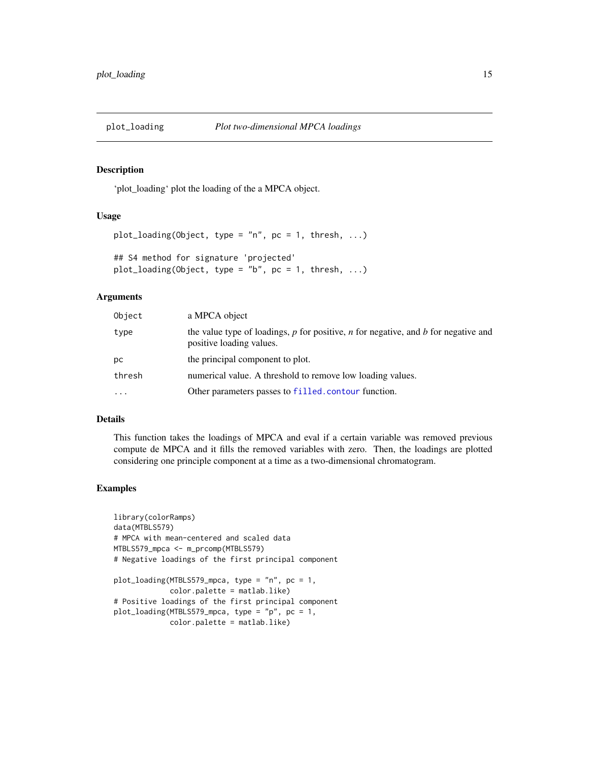<span id="page-14-0"></span>

'plot\_loading' plot the loading of the a MPCA object.

#### Usage

```
plot\_loading(Object, type = "n", pc = 1, thresh, ...)## S4 method for signature 'projected'
plot\_loading(Object, type = "b", pc = 1, thresh, ...)
```
#### Arguments

| Object   | a MPCA object                                                                                                        |
|----------|----------------------------------------------------------------------------------------------------------------------|
| type     | the value type of loadings, $p$ for positive, $n$ for negative, and $b$ for negative and<br>positive loading values. |
| рc       | the principal component to plot.                                                                                     |
| thresh   | numerical value. A threshold to remove low loading values.                                                           |
| $\cdots$ | Other parameters passes to filled. contour function.                                                                 |

#### Details

This function takes the loadings of MPCA and eval if a certain variable was removed previous compute de MPCA and it fills the removed variables with zero. Then, the loadings are plotted considering one principle component at a time as a two-dimensional chromatogram.

```
library(colorRamps)
data(MTBLS579)
# MPCA with mean-centered and scaled data
MTBLS579_mpca <- m_prcomp(MTBLS579)
# Negative loadings of the first principal component
plot_loading(MTBLS579_mpca, type = "n", pc = 1,
             color.palette = matlab.like)
# Positive loadings of the first principal component
plot_loading(MTBLS579_mpca, type = "p", pc = 1,
             color.palette = matlab.like)
```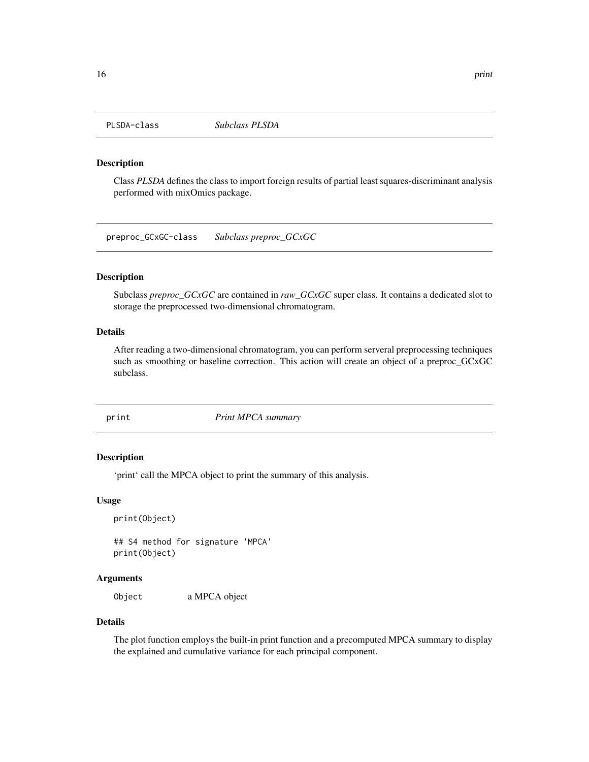<span id="page-15-0"></span>

Class *PLSDA* defines the class to import foreign results of partial least squares-discriminant analysis performed with mixOmics package.

preproc\_GCxGC-class *Subclass preproc\_GCxGC*

#### Description

Subclass *preproc\_GCxGC* are contained in *raw\_GCxGC* super class. It contains a dedicated slot to storage the preprocessed two-dimensional chromatogram.

#### Details

After reading a two-dimensional chromatogram, you can perform serveral preprocessing techniques such as smoothing or baseline correction. This action will create an object of a preproc\_GCxGC subclass.

print *Print MPCA summary*

#### Description

'print' call the MPCA object to print the summary of this analysis.

#### Usage

```
print(Object)
```
## S4 method for signature 'MPCA' print(Object)

#### Arguments

Object a MPCA object

#### Details

The plot function employs the built-in print function and a precomputed MPCA summary to display the explained and cumulative variance for each principal component.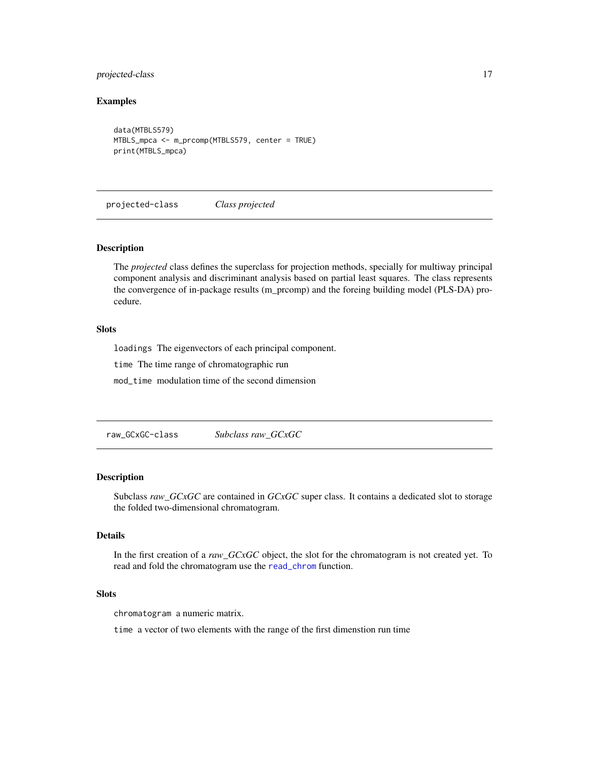#### <span id="page-16-0"></span>projected-class 17

#### Examples

```
data(MTBLS579)
MTBLS_mpca <- m_prcomp(MTBLS579, center = TRUE)
print(MTBLS_mpca)
```
projected-class *Class projected*

#### Description

The *projected* class defines the superclass for projection methods, specially for multiway principal component analysis and discriminant analysis based on partial least squares. The class represents the convergence of in-package results (m\_prcomp) and the foreing building model (PLS-DA) procedure.

#### **Slots**

loadings The eigenvectors of each principal component.

time The time range of chromatographic run

mod\_time modulation time of the second dimension

raw\_GCxGC-class *Subclass raw\_GCxGC*

#### Description

Subclass *raw\_GCxGC* are contained in *GCxGC* super class. It contains a dedicated slot to storage the folded two-dimensional chromatogram.

#### Details

In the first creation of a *raw\_GCxGC* object, the slot for the chromatogram is not created yet. To read and fold the chromatogram use the [read\\_chrom](#page-17-1) function.

#### Slots

chromatogram a numeric matrix.

time a vector of two elements with the range of the first dimenstion run time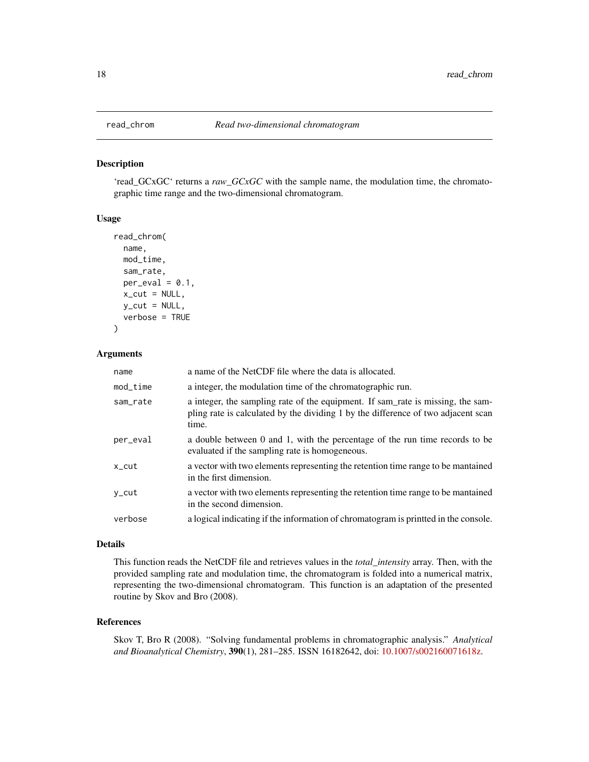'read\_GCxGC' returns a *raw\_GCxGC* with the sample name, the modulation time, the chromatographic time range and the two-dimensional chromatogram.

#### Usage

```
read_chrom(
  name,
 mod_time,
  sam_rate,
  per\_eval = 0.1,
  x_{cut} = NULL,
  y_{cut} = NULL,
  verbose = TRUE
\lambda
```
#### Arguments

| name        | a name of the NetCDF file where the data is allocated.                                                                                                                        |
|-------------|-------------------------------------------------------------------------------------------------------------------------------------------------------------------------------|
| $mod\_time$ | a integer, the modulation time of the chromatographic run.                                                                                                                    |
| sam_rate    | a integer, the sampling rate of the equipment. If sam_rate is missing, the sam-<br>pling rate is calculated by the dividing 1 by the difference of two adjacent scan<br>time. |
| per_eval    | a double between 0 and 1, with the percentage of the run time records to be<br>evaluated if the sampling rate is homogeneous.                                                 |
| $x_{cut}$   | a vector with two elements representing the retention time range to be mantained<br>in the first dimension.                                                                   |
| y_cut       | a vector with two elements representing the retention time range to be mantained<br>in the second dimension.                                                                  |
| verbose     | a logical indicating if the information of chromatogram is printted in the console.                                                                                           |

#### Details

This function reads the NetCDF file and retrieves values in the *total\_intensity* array. Then, with the provided sampling rate and modulation time, the chromatogram is folded into a numerical matrix, representing the two-dimensional chromatogram. This function is an adaptation of the presented routine by Skov and Bro (2008).

#### References

Skov T, Bro R (2008). "Solving fundamental problems in chromatographic analysis." *Analytical and Bioanalytical Chemistry*, 390(1), 281–285. ISSN 16182642, doi: [10.1007/s002160071618z.](https://doi.org/10.1007/s00216-007-1618-z)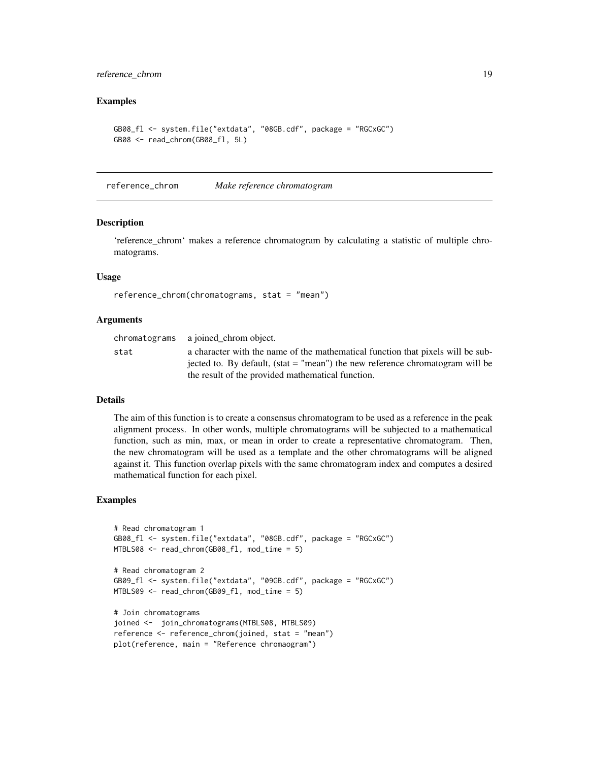#### <span id="page-18-0"></span>reference\_chrom 19

#### Examples

```
GB08_fl <- system.file("extdata", "08GB.cdf", package = "RGCxGC")
GB08 <- read_chrom(GB08_fl, 5L)
```
reference\_chrom *Make reference chromatogram*

#### Description

'reference\_chrom' makes a reference chromatogram by calculating a statistic of multiple chromatograms.

#### Usage

```
reference_chrom(chromatograms, stat = "mean")
```
#### Arguments

|      | chromatograms a joined chrom object.                                            |
|------|---------------------------------------------------------------------------------|
| stat | a character with the name of the mathematical function that pixels will be sub- |
|      | jected to. By default, (stat $=$ "mean") the new reference chromatogram will be |
|      | the result of the provided mathematical function.                               |

#### **Details**

The aim of this function is to create a consensus chromatogram to be used as a reference in the peak alignment process. In other words, multiple chromatograms will be subjected to a mathematical function, such as min, max, or mean in order to create a representative chromatogram. Then, the new chromatogram will be used as a template and the other chromatograms will be aligned against it. This function overlap pixels with the same chromatogram index and computes a desired mathematical function for each pixel.

```
# Read chromatogram 1
GB08_fl <- system.file("extdata", "08GB.cdf", package = "RGCxGC")
MTBLS08 <- read_chrom(GB08_fl, mod_time = 5)
# Read chromatogram 2
GB09_fl <- system.file("extdata", "09GB.cdf", package = "RGCxGC")
MTBLS09 <- read_chrom(GB09_fl, mod_time = 5)
# Join chromatograms
joined <- join_chromatograms(MTBLS08, MTBLS09)
reference <- reference_chrom(joined, stat = "mean")
plot(reference, main = "Reference chromaogram")
```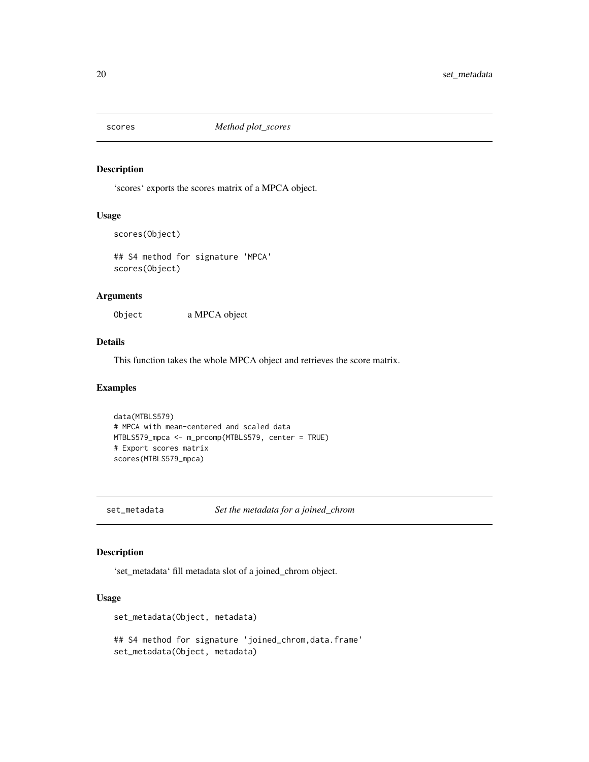<span id="page-19-0"></span>

'scores' exports the scores matrix of a MPCA object.

#### Usage

```
scores(Object)
```
## S4 method for signature 'MPCA' scores(Object)

#### Arguments

Object a MPCA object

#### Details

This function takes the whole MPCA object and retrieves the score matrix.

#### Examples

```
data(MTBLS579)
# MPCA with mean-centered and scaled data
MTBLS579_mpca <- m_prcomp(MTBLS579, center = TRUE)
# Export scores matrix
scores(MTBLS579_mpca)
```
set\_metadata *Set the metadata for a joined\_chrom*

#### Description

'set\_metadata' fill metadata slot of a joined\_chrom object.

#### Usage

```
set_metadata(Object, metadata)
```
## S4 method for signature 'joined\_chrom,data.frame' set\_metadata(Object, metadata)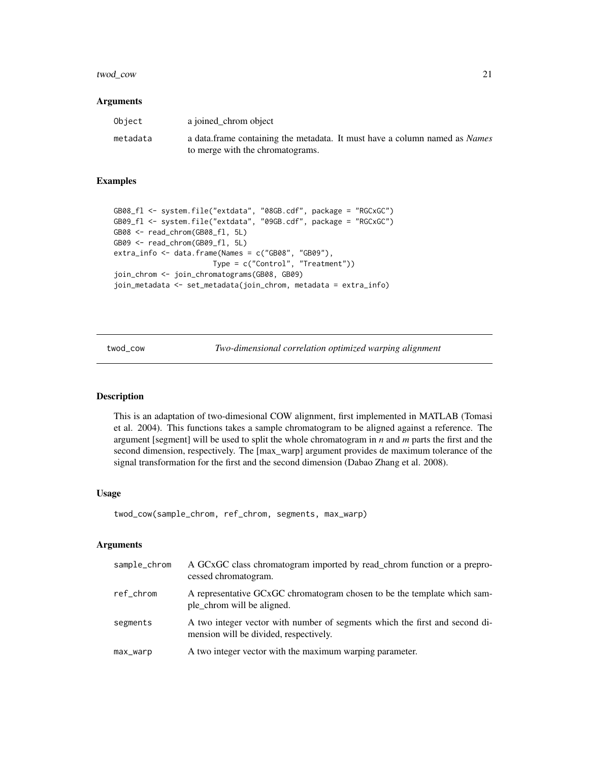#### <span id="page-20-0"></span>twod\_cow 21

#### Arguments

| Object   | a joined chrom object                                                             |
|----------|-----------------------------------------------------------------------------------|
| metadata | a data frame containing the metadata. It must have a column named as <i>Names</i> |
|          | to merge with the chromatograms.                                                  |

#### Examples

```
GB08_fl <- system.file("extdata", "08GB.cdf", package = "RGCxGC")
GB09_fl <- system.file("extdata", "09GB.cdf", package = "RGCxGC")
GB08 <- read_chrom(GB08_fl, 5L)
GB09 <- read_chrom(GB09_fl, 5L)
extra_info <- data.frame(Names = c("GB08", "GB09"),
                       Type = c("Control", "Treatment"))
join_chrom <- join_chromatograms(GB08, GB09)
join_metadata <- set_metadata(join_chrom, metadata = extra_info)
```
twod\_cow *Two-dimensional correlation optimized warping alignment*

#### Description

This is an adaptation of two-dimesional COW alignment, first implemented in MATLAB (Tomasi et al. 2004). This functions takes a sample chromatogram to be aligned against a reference. The argument [segment] will be used to split the whole chromatogram in *n* and *m* parts the first and the second dimension, respectively. The [max\_warp] argument provides de maximum tolerance of the signal transformation for the first and the second dimension (Dabao Zhang et al. 2008).

#### Usage

```
twod_cow(sample_chrom, ref_chrom, segments, max_warp)
```
#### Arguments

| sample_chrom | A GCxGC class chromatogram imported by read_chrom function or a prepro-<br>cessed chromatogram.                       |
|--------------|-----------------------------------------------------------------------------------------------------------------------|
| ref_chrom    | A representative GCxGC chromatogram chosen to be the template which sam-<br>ple chrom will be aligned.                |
| segments     | A two integer vector with number of segments which the first and second di-<br>mension will be divided, respectively. |
| max_warp     | A two integer vector with the maximum warping parameter.                                                              |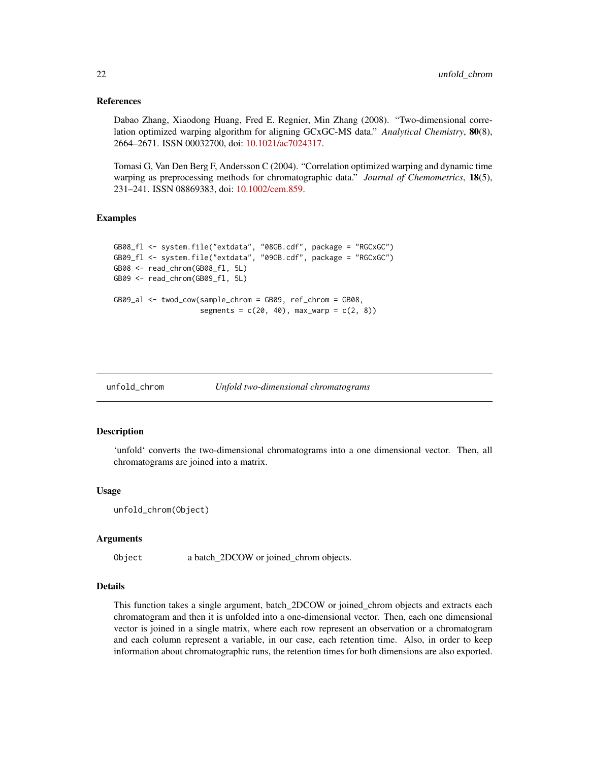#### References

Dabao Zhang, Xiaodong Huang, Fred E. Regnier, Min Zhang (2008). "Two-dimensional correlation optimized warping algorithm for aligning GCxGC-MS data." *Analytical Chemistry*, 80(8), 2664–2671. ISSN 00032700, doi: [10.1021/ac7024317.](https://doi.org/10.1021/ac7024317)

Tomasi G, Van Den Berg F, Andersson C (2004). "Correlation optimized warping and dynamic time warping as preprocessing methods for chromatographic data." *Journal of Chemometrics*, 18(5), 231–241. ISSN 08869383, doi: [10.1002/cem.859.](https://doi.org/10.1002/cem.859)

#### Examples

```
GB08_fl <- system.file("extdata", "08GB.cdf", package = "RGCxGC")
GB09_fl <- system.file("extdata", "09GB.cdf", package = "RGCxGC")
GB08 <- read_chrom(GB08_fl, 5L)
GB09 <- read_chrom(GB09_fl, 5L)
GB09_al <- twod_cow(sample_chrom = GB09, ref_chrom = GB08,
                    segments = c(20, 40), max_warp = c(2, 8))
```
unfold\_chrom *Unfold two-dimensional chromatograms*

#### Description

'unfold' converts the two-dimensional chromatograms into a one dimensional vector. Then, all chromatograms are joined into a matrix.

#### Usage

unfold\_chrom(Object)

#### Arguments

Object a batch\_2DCOW or joined\_chrom objects.

#### Details

This function takes a single argument, batch\_2DCOW or joined\_chrom objects and extracts each chromatogram and then it is unfolded into a one-dimensional vector. Then, each one dimensional vector is joined in a single matrix, where each row represent an observation or a chromatogram and each column represent a variable, in our case, each retention time. Also, in order to keep information about chromatographic runs, the retention times for both dimensions are also exported.

<span id="page-21-0"></span>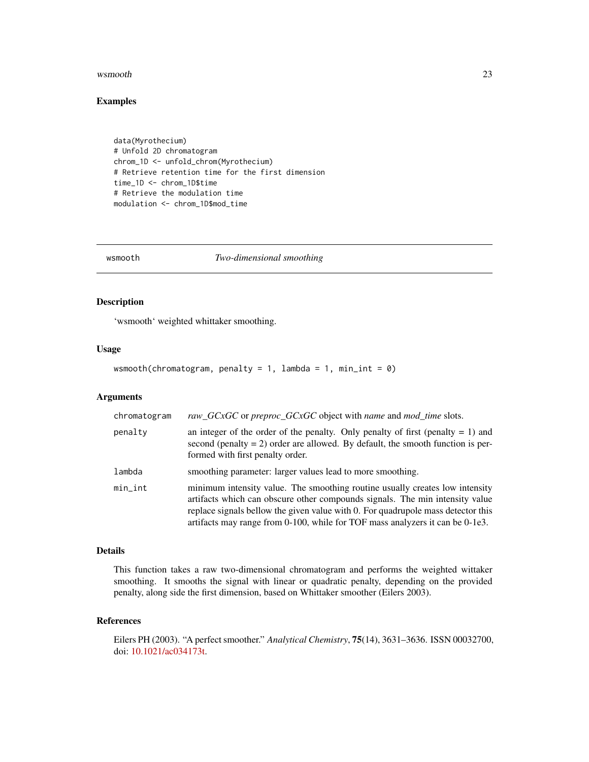#### <span id="page-22-0"></span>wsmooth 23

#### Examples

```
data(Myrothecium)
# Unfold 2D chromatogram
chrom_1D <- unfold_chrom(Myrothecium)
# Retrieve retention time for the first dimension
time_1D <- chrom_1D$time
# Retrieve the modulation time
modulation <- chrom_1D$mod_time
```
wsmooth *Two-dimensional smoothing*

#### Description

'wsmooth' weighted whittaker smoothing.

#### Usage

```
wsmooth(chromatogram, penalty = 1, lambda = 1, min_int = \emptyset)
```
#### Arguments

| chromatogram | raw_GCxGC or preproc_GCxGC object with name and mod_time slots.                                                                                                                                                                                                                                                                   |
|--------------|-----------------------------------------------------------------------------------------------------------------------------------------------------------------------------------------------------------------------------------------------------------------------------------------------------------------------------------|
| penalty      | an integer of the order of the penalty. Only penalty of first (penalty $= 1$ ) and<br>second (penalty $= 2$ ) order are allowed. By default, the smooth function is per-<br>formed with first penalty order.                                                                                                                      |
| lambda       | smoothing parameter: larger values lead to more smoothing.                                                                                                                                                                                                                                                                        |
| min_int      | minimum intensity value. The smoothing routine usually creates low intensity<br>artifacts which can obscure other compounds signals. The min intensity value<br>replace signals bellow the given value with 0. For quadrupole mass detector this<br>artifacts may range from 0-100, while for TOF mass analyzers it can be 0-1e3. |

#### Details

This function takes a raw two-dimensional chromatogram and performs the weighted wittaker smoothing. It smooths the signal with linear or quadratic penalty, depending on the provided penalty, along side the first dimension, based on Whittaker smoother (Eilers 2003).

#### References

Eilers PH (2003). "A perfect smoother." *Analytical Chemistry*, 75(14), 3631–3636. ISSN 00032700, doi: [10.1021/ac034173t.](https://doi.org/10.1021/ac034173t)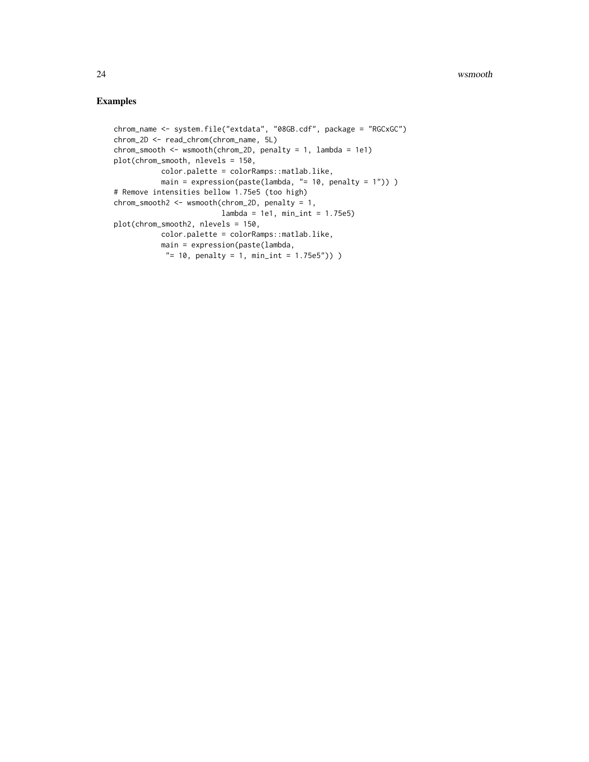```
chrom_name <- system.file("extdata", "08GB.cdf", package = "RGCxGC")
chrom_2D <- read_chrom(chrom_name, 5L)
chrom_smooth <- wsmooth(chrom_2D, penalty = 1, lambda = 1e1)
plot(chrom_smooth, nlevels = 150,
          color.palette = colorRamps::matlab.like,
          main = expression(paste(lambda, "= 10, penalty = 1")) )
# Remove intensities bellow 1.75e5 (too high)
chrom_smooth2 <- wsmooth(chrom_2D, penalty = 1,
                        lambda = 1e1, min\_int = 1.75e5plot(chrom_smooth2, nlevels = 150,
          color.palette = colorRamps::matlab.like,
          main = expression(paste(lambda,
           "= 10, penalty = 1, min_int = 1.75e5")) )
```